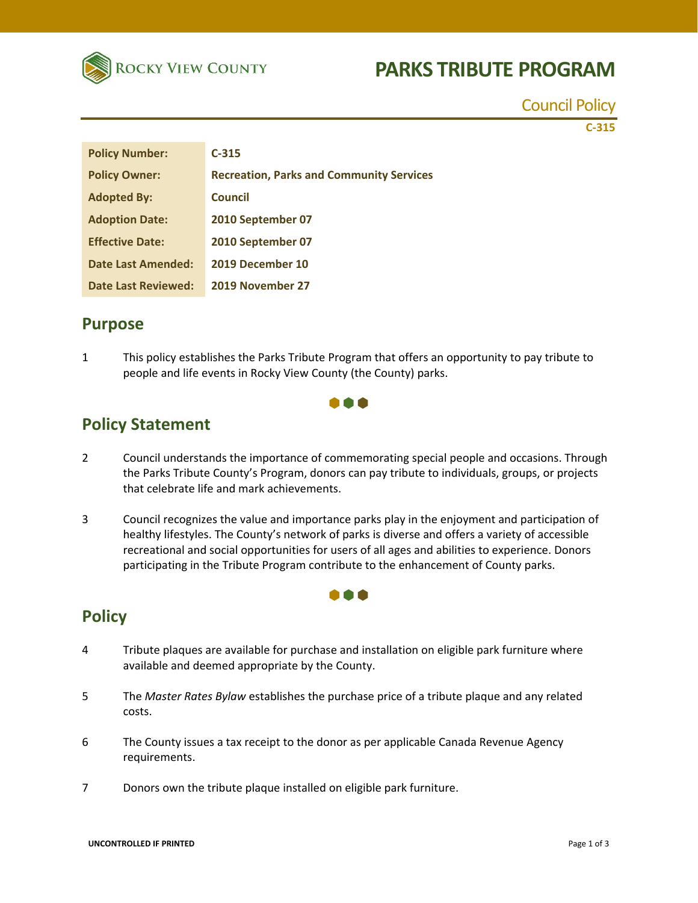

# **PARKS TRIBUTE PROGRAM**

Council Policy **C‐315**

| <b>Policy Number:</b>     | $C-315$                                         |
|---------------------------|-------------------------------------------------|
| <b>Policy Owner:</b>      | <b>Recreation, Parks and Community Services</b> |
| <b>Adopted By:</b>        | <b>Council</b>                                  |
| <b>Adoption Date:</b>     | 2010 September 07                               |
| <b>Effective Date:</b>    | 2010 September 07                               |
| <b>Date Last Amended:</b> | 2019 December 10                                |
| Date Last Reviewed:       | 2019 November 27                                |

#### **Purpose**

1 This policy establishes the Parks Tribute Program that offers an opportunity to pay tribute to people and life events in Rocky View County (the County) parks.

### **Policy Statement**

2 Council understands the importance of commemorating special people and occasions. Through the Parks Tribute County's Program, donors can pay tribute to individuals, groups, or projects that celebrate life and mark achievements.

000

3 Council recognizes the value and importance parks play in the enjoyment and participation of healthy lifestyles. The County's network of parks is diverse and offers a variety of accessible recreational and social opportunities for users of all ages and abilities to experience. Donors participating in the Tribute Program contribute to the enhancement of County parks.

000

### **Policy**

- 4 Tribute plaques are available for purchase and installation on eligible park furniture where available and deemed appropriate by the County.
- 5 The *Master Rates Bylaw* establishes the purchase price of a tribute plaque and any related costs.
- 6 The County issues a tax receipt to the donor as per applicable Canada Revenue Agency requirements.
- 7 Donors own the tribute plaque installed on eligible park furniture.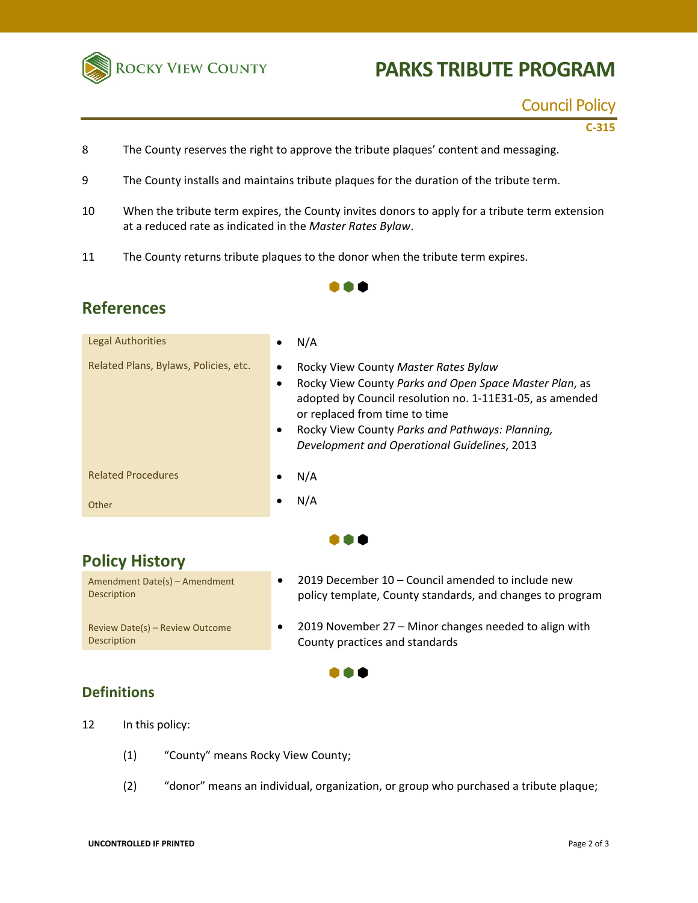

# **PARKS TRIBUTE PROGRAM**

#### Council Policy

**C‐315**

- 8 The County reserves the right to approve the tribute plaques' content and messaging.
- 9 The County installs and maintains tribute plaques for the duration of the tribute term.
- 10 When the tribute term expires, the County invites donors to apply for a tribute term extension at a reduced rate as indicated in the *Master Rates Bylaw*.

 $\bullet \bullet \bullet$ 

11 The County returns tribute plaques to the donor when the tribute term expires.

### **References**

| Legal Authorities                     | N/A                                                                                                                                                                                                                                                                                                                   |
|---------------------------------------|-----------------------------------------------------------------------------------------------------------------------------------------------------------------------------------------------------------------------------------------------------------------------------------------------------------------------|
| Related Plans, Bylaws, Policies, etc. | Rocky View County Master Rates Bylaw<br>٠<br>Rocky View County Parks and Open Space Master Plan, as<br>٠<br>adopted by Council resolution no. 1-11E31-05, as amended<br>or replaced from time to time<br>Rocky View County Parks and Pathways: Planning,<br>$\bullet$<br>Development and Operational Guidelines, 2013 |
| <b>Related Procedures</b>             | N/A                                                                                                                                                                                                                                                                                                                   |
| Other                                 | N/A                                                                                                                                                                                                                                                                                                                   |
|                                       |                                                                                                                                                                                                                                                                                                                       |

â â ê

 $\bullet\bullet\bullet$ 

## **Policy History**

Amendment Date(s) – Amendment Description Review Date(s) – Review Outcome

- 2019 December 10 Council amended to include new policy template, County standards, and changes to program
- 2019 November 27 Minor changes needed to align with County practices and standards

#### **Definitions**

Description

12 In this policy:

- (1) "County" means Rocky View County;
- (2) "donor" means an individual, organization, or group who purchased a tribute plaque;